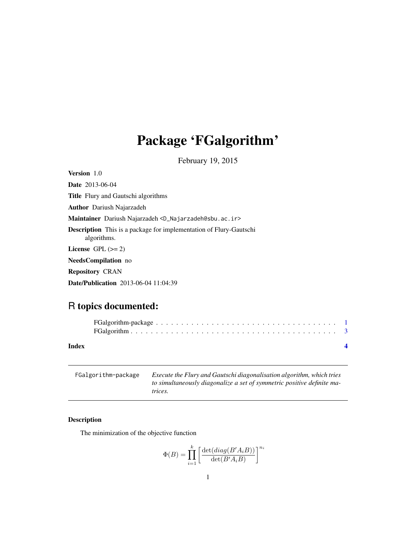## <span id="page-0-0"></span>Package 'FGalgorithm'

February 19, 2015

Version 1.0 Dete 2012-06-04

| <b>Date</b> $2013-06-04$                                                                 |
|------------------------------------------------------------------------------------------|
| <b>Title</b> Flury and Gautschi algorithms                                               |
| <b>Author</b> Dariush Najarzadeh                                                         |
| Maintainer Dariush Najarzadeh <d_najarzadeh@sbu.ac.ir></d_najarzadeh@sbu.ac.ir>          |
| <b>Description</b> This is a package for implementation of Flury-Gautschi<br>algorithms. |
| License $GPL \, (>= 2)$                                                                  |
| <b>NeedsCompilation</b> no                                                               |
| <b>Repository CRAN</b>                                                                   |
| <b>Date/Publication</b> 2013-06-04 11:04:39                                              |
|                                                                                          |

### R topics documented:

| Index |  |  |  |  |  |  |  |  |  |  |  |  |
|-------|--|--|--|--|--|--|--|--|--|--|--|--|

| FGalgorithm-package | Execute the Flury and Gautschi diagonalisation algorithm, which tries  |
|---------------------|------------------------------------------------------------------------|
|                     | to simultaneously diagonalize a set of symmetric positive definite ma- |
|                     | trices.                                                                |

#### Description

The minimization of the objective function

$$
\Phi(B) = \prod_{i=1}^{k} \left[ \frac{\det(diag(B'A_iB))}{\det(B'A_iB)} \right]^{n_i}
$$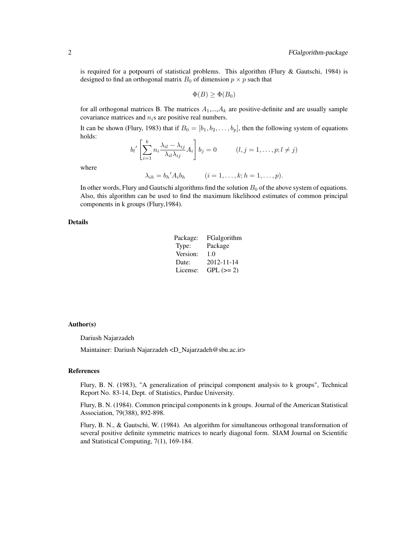is required for a potpourri of statistical problems. This algorithm (Flury & Gautschi, 1984) is designed to find an orthogonal matrix  $B_0$  of dimension  $p \times p$  such that

$$
\Phi(B) \ge \Phi(B_0)
$$

for all orthogonal matrices B. The matrices  $A_1, \ldots, A_k$  are positive-definite and are usually sample covariance matrices and  $n_i$ s are positive real numbers.

It can be shown (Flury, 1983) that if  $B_0 = [b_1, b_2, \dots, b_p]$ , then the following system of equations holds:

$$
b_l' \left[ \sum_{i=1}^k n_i \frac{\lambda_{il} - \lambda_{ij}}{\lambda_{il} \lambda_{ij}} A_i \right] b_j = 0 \qquad (l, j = 1, \dots, p; l \neq j)
$$

where

$$
\lambda_{ih} = b_h' A_i b_h \qquad (i = 1, \dots, k; h = 1, \dots, p).
$$

In other words, Flury and Gautschi algorithms find the solution  $B_0$  of the above system of equations. Also, this algorithm can be used to find the maximum likelihood estimates of common principal components in k groups (Flury,1984).

#### Details

| Package: | FGalgorithm |
|----------|-------------|
| Type:    | Package     |
| Version: | 1.0         |
| Date:    | 2012-11-14  |
| License: | $GPL (=2)$  |

#### Author(s)

Dariush Najarzadeh

Maintainer: Dariush Najarzadeh <D\_Najarzadeh@sbu.ac.ir>

#### References

Flury, B. N. (1983), "A generalization of principal component analysis to k groups", Technical Report No. 83-14, Dept. of Statistics, Purdue University.

Flury, B. N. (1984). Common principal components in k groups. Journal of the American Statistical Association, 79(388), 892-898.

Flury, B. N., & Gautschi, W. (1984). An algorithm for simultaneous orthogonal transformation of several positive definite symmetric matrices to nearly diagonal form. SIAM Journal on Scientific and Statistical Computing, 7(1), 169-184.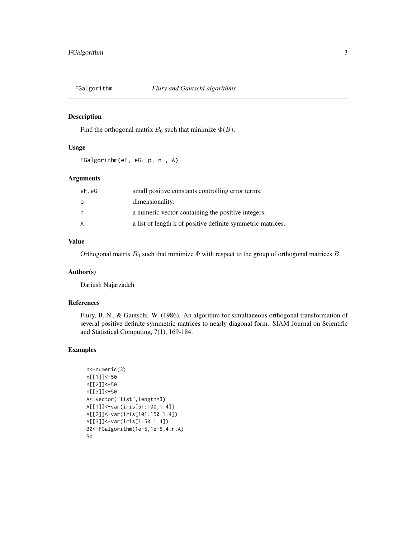<span id="page-2-0"></span>

#### Description

Find the orthogonal matrix  $B_0$  such that minimize  $\Phi(B)$ .

#### Usage

FGalgorithm(eF, eG, p, n , A)

#### Arguments

| eF.eG | small positive constants controlling error terms.           |
|-------|-------------------------------------------------------------|
| р     | dimensionality.                                             |
| n     | a numeric vector containing the positive integers.          |
| A     | a list of length k of positive definite symmetric matrices. |

#### Value

Orthogonal matrix  $B_0$  such that minimize  $\Phi$  with respect to the group of orthogonal matrices  $B$ .

#### Author(s)

Dariush Najarzadeh

#### References

Flury, B. N., & Gautschi, W. (1986). An algorithm for simultaneous orthogonal transformation of several positive definite symmetric matrices to nearly diagonal form. SIAM Journal on Scientific and Statistical Computing, 7(1), 169-184.

#### Examples

```
n<-numeric(3)
n[[1]]<-50
n[[2]]<-50
n[[3]]<-50
A<-vector("list",length=3)
A[[1]]<-var(iris[51:100,1:4])
A[[2]]<-var(iris[101:150,1:4])
A[[3]]<-var(iris[1:50,1:4])
B0<-FGalgorithm(1e-5,1e-5,4,n,A)
B0
```